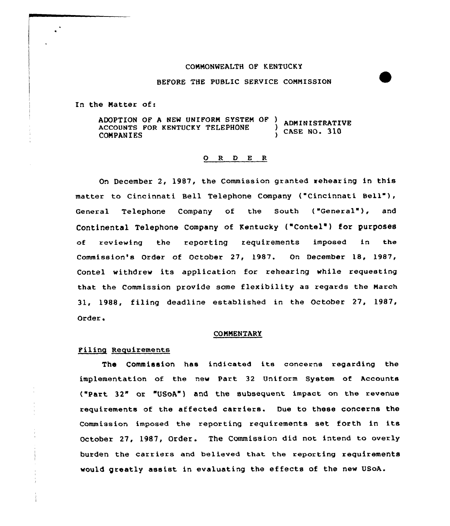# CONNONMEALTH OF KENTUCKY

### BEFORE THE PUBLIC SERVICE CONNISSION

In the Natter of:

ADOPTION OF A NEW UNIFORM SYSTEM OF ) ADMINISTRATIVE<br>ACCOUNTS FOR KENTUCKY TELEPHONE ) CASE NO. 310<br>COMPANIES

# 0 R <sup>D</sup> E <sup>R</sup>

On December 2, 1987, the Commission granted rehearing in this matter to Cincinnati Bell Telephone Company {"Cincinnati Bell" ), General Telephone Company of the South ("General"), and Continental Telephone Company of Kentucky ("Contel") for purposes of reviewing the reporting requirements imposed in the Commission's Order of October 27, 1987. On December 18, 1987, Contel withdrew its application for rehearing while requesting that the Commission provide some flexibility as regards the Narch 31, 1988, filing deadline established in the October 27, 1987, Order.

#### **COMMENTARY**

## Filing Requirements

The Commission has indicated its concerns regarding the implementation of the new Part 32 Uniform System of Accounts {"Part 32" or "USoA") and the subsequent impact on the revenue requirements of the affected carriers. Due to these concerns the Commission imposed the reporting requirements set forth in its October 27, 1987, Order. The Commission did not intend to overly burden the carriers and believed that the reporting requirements would greatly assist in evaluating the effects of the new USoA.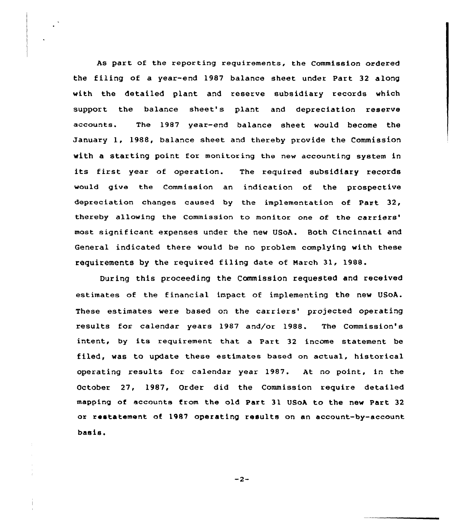As part of the reporting requirements, the Commission ordered the filing of a year-end 1987 balance sheet under Part 32 along with the detailed plant and resexve subsidiary records which support the balance sheet's plant and depreciation reserve accounts. The 1987 year-end balance sheet would become the January 1, 1988, balance sheet and thereby provide the Commission with a staxting point for monitoring the new accounting system in its first year of operation. The required subsidiary records would give the Commission an indication of the prospective depreciation changes caused by the implementation of Part 32, thereby allowing the Commission to monitor one of the carriers' most significant expenses under the new USoA. Both Cincinnati and General indicated there would be no problem complying with these requirements by the required filing date of march 31, 1988.

During this proceeding the Commission requested and received estimates of the financial impact of implementing the new USoA. These estimates were based on the carriers' projected operating results for calendar years 1987 and/or 1988. The Commission's intent, by its requirement that <sup>a</sup> Part <sup>32</sup> income statement be filed, was to update these estimates based on actual, historical operating results for calendar year 1987. At no point, in the October 27, 1987, Order did the Commission require detailed mapping of accounts from the old Part 31 USoA to the new Part 32 or restatement of 1987 operating results on an account-by-account basis.

 $-2-$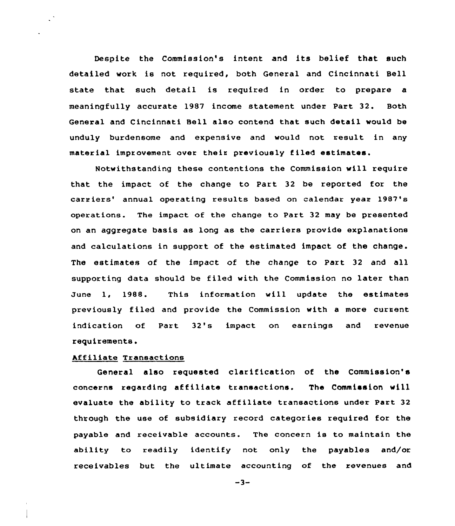Despite the Commission's intent and its belief that such detailed work is not required, both General and Cincinnati Bell state that such detail is required in order to prepare a meaningfully accurate 1987 income statement under Part 32. Both General and Cincinnati Bell also contend that such detail would be unduly burdensome and expensive and would not result in any material improvement over their previously filed estimates.

Notwithstanding these contentions the Commission will require that the impact of the change to Part 32 be reported for the carriers' annual operating results based on calendar year 1987's operations. The impact of the change to Part 32 may be presented on an aggregate basis as long as the carriers provide explanations and calculations in support of the estimated impact of the change. The estimates of the impact of the change to Part 32 and all supporting data should be filed with the Commission no later than June 1, 1988. This information will update the estimates previously filed and provide the Commission with a more current indication of Part 32's impact on earnings and revenue requirements.

## hffiliate Transactions

General also requested clarification of the Commission's concerns regarding affiliate transactions. The Commission will evaluate the ability to track affiliate transactions under Part 32 through the use of subsidiary record categories required for the payable and receivable accounts. The concern is to maintain the ability to readily identify not only the payables and/or receivables but the ultimate accounting of the revenues and

 $-3-$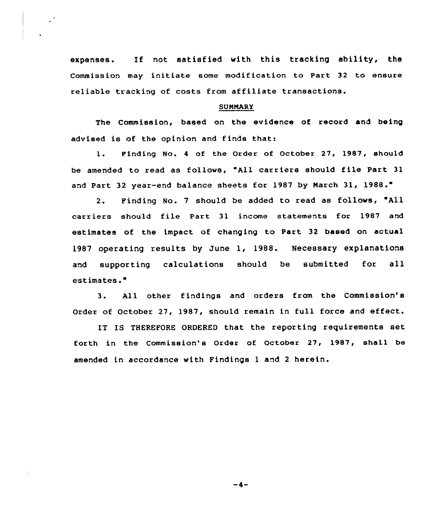expenses. If not satisfied with this tracking ability, the Commission may initiate some modification to Part 32 to ensure reliable tracking of costs from affiliate transactions.

### **SUMMARY**

The Commission, based on the evidence of record and being advised is of the opinion and finds that:

1. Finding No. <sup>4</sup> of the Order of October 27, 1987, should be amended to read as follows, "All carriers should file Part 31 and Part 32 year-end balance sheets for 1987 by Narch 31, 1988."

2. Finding No. 7 should be added to read as follows, "All carriers should file Part 31 income statements for 1987 and estimates of the impact of changing to Part 32 based on actual 1987 operating results by June 1, 1988. Necessary explanations and supporting calculations should be submitted for all estimates."

3. All other findings and orders from the Commission's Order of October 27, 1987, should remain in full force and effect.

IT IS THEREFORE ORDERED that the reporting requirements set forth in the Commission's Order of October 27, 1987, shall be amended in accordance with Findings <sup>1</sup> and <sup>2</sup> herein.

 $-4-$